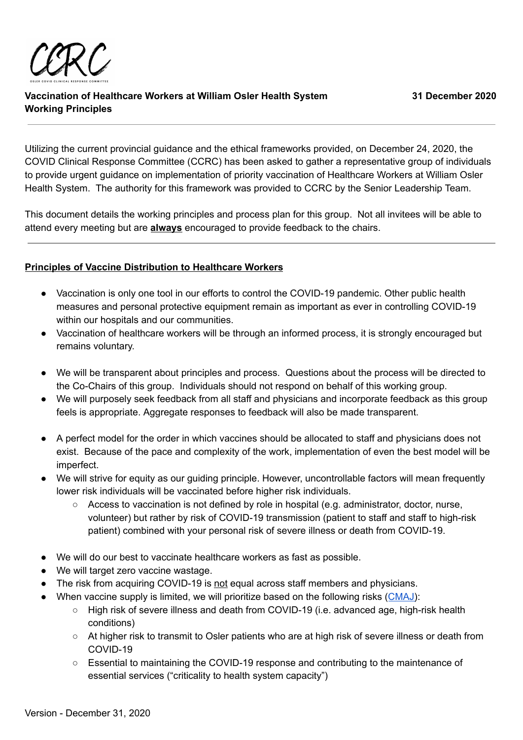

Utilizing the current provincial guidance and the ethical frameworks provided, on December 24, 2020, the COVID Clinical Response Committee (CCRC) has been asked to gather a representative group of individuals to provide urgent guidance on implementation of priority vaccination of Healthcare Workers at William Osler Health System. The authority for this framework was provided to CCRC by the Senior Leadership Team.

This document details the working principles and process plan for this group. Not all invitees will be able to attend every meeting but are **always** encouraged to provide feedback to the chairs.

## **Principles of Vaccine Distribution to Healthcare Workers**

- Vaccination is only one tool in our efforts to control the COVID-19 pandemic. Other public health measures and personal protective equipment remain as important as ever in controlling COVID-19 within our hospitals and our communities.
- Vaccination of healthcare workers will be through an informed process, it is strongly encouraged but remains voluntary.
- We will be transparent about principles and process. Questions about the process will be directed to the Co-Chairs of this group. Individuals should not respond on behalf of this working group.
- We will purposely seek feedback from all staff and physicians and incorporate feedback as this group feels is appropriate. Aggregate responses to feedback will also be made transparent.
- A perfect model for the order in which vaccines should be allocated to staff and physicians does not exist. Because of the pace and complexity of the work, implementation of even the best model will be imperfect.
- We will strive for equity as our guiding principle. However, uncontrollable factors will mean frequently lower risk individuals will be vaccinated before higher risk individuals.
	- $\circ$  Access to vaccination is not defined by role in hospital (e.g. administrator, doctor, nurse, volunteer) but rather by risk of COVID-19 transmission (patient to staff and staff to high-risk patient) combined with your personal risk of severe illness or death from COVID-19.
- We will do our best to vaccinate healthcare workers as fast as possible.
- We will target zero vaccine wastage.
- The risk from acquiring COVID-19 is not equal across staff members and physicians.
- When vaccine supply is limited, we will prioritize based on the following risks [\(CMAJ](https://www.cmaj.ca/content/192/48/E1620)):
	- High risk of severe illness and death from COVID-19 (i.e. advanced age, high-risk health conditions)
	- At higher risk to transmit to Osler patients who are at high risk of severe illness or death from COVID-19
	- Essential to maintaining the COVID-19 response and contributing to the maintenance of essential services ("criticality to health system capacity")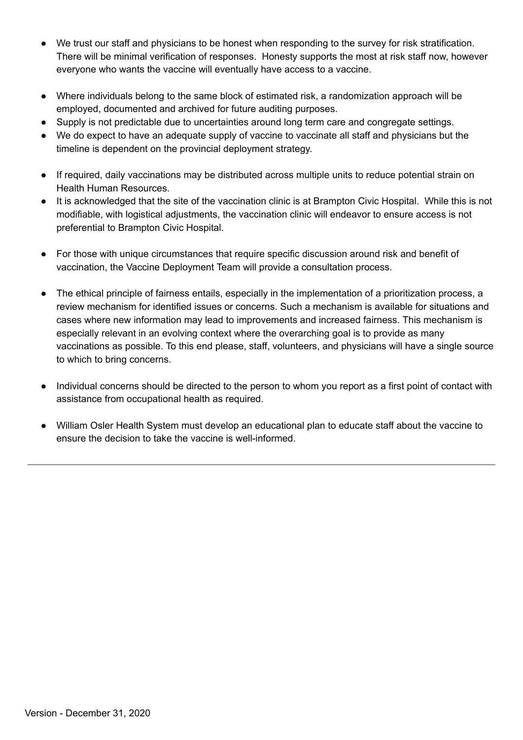- We trust our staff and physicians to be honest when responding to the survey for risk stratification. There will be minimal verification of responses. Honesty supports the most at risk staff now, however everyone who wants the vaccine will eventually have access to a vaccine.
- Where individuals belong to the same block of estimated risk, a randomization approach will be employed, documented and archived for future auditing purposes.
- Supply is not predictable due to uncertainties around long term care and congregate settings.
- We do expect to have an adequate supply of vaccine to vaccinate all staff and physicians but the timeline is dependent on the provincial deployment strategy.
- If required, daily vaccinations may be distributed across multiple units to reduce potential strain on Health Human Resources.
- It is acknowledged that the site of the vaccination clinic is at Brampton Civic Hospital. While this is not modifiable, with logistical adjustments, the vaccination clinic will endeavor to ensure access is not preferential to Brampton Civic Hospital.
- For those with unique circumstances that require specific discussion around risk and benefit of vaccination, the Vaccine Deployment Team will provide a consultation process.
- The ethical principle of fairness entails, especially in the implementation of a prioritization process, a review mechanism for identified issues or concerns. Such a mechanism is available for situations and cases where new information may lead to improvements and increased fairness. This mechanism is especially relevant in an evolving context where the overarching goal is to provide as many vaccinations as possible. To this end please, staff, volunteers, and physicians will have a single source to which to bring concerns.
- Individual concerns should be directed to the person to whom you report as a first point of contact with assistance from occupational health as required.
- William Osler Health System must develop an educational plan to educate staff about the vaccine to ensure the decision to take the vaccine is well-informed.